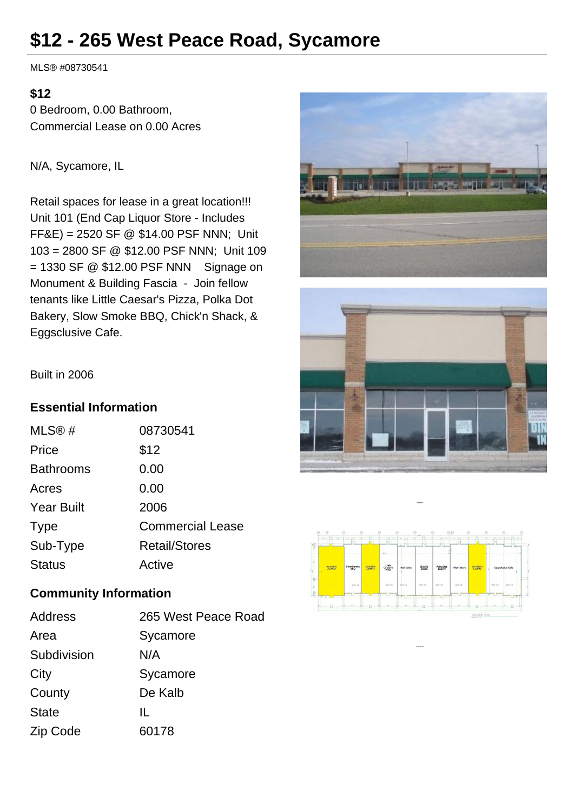# **\$12 - 265 West Peace Road, Sycamore**

MLS® #08730541

### **\$12**

0 Bedroom, 0.00 Bathroom, Commercial Lease on 0.00 Acres

N/A, Sycamore, IL

Retail spaces for lease in a great location!!! Unit 101 (End Cap Liquor Store - Includes FF&E) = 2520 SF @ \$14.00 PSF NNN; Unit 103 = 2800 SF @ \$12.00 PSF NNN; Unit 109  $= 1330$  SF @ \$12.00 PSF NNN Signage on Monument & Building Fascia - Join fellow tenants like Little Caesar's Pizza, Polka Dot Bakery, Slow Smoke BBQ, Chick'n Shack, & Eggsclusive Cafe.







Built in 2006

## **Essential Information**

| MLS@#             | 08730541                |
|-------------------|-------------------------|
| Price             | \$12                    |
| <b>Bathrooms</b>  | 0.00                    |
| Acres             | 0.00                    |
| <b>Year Built</b> | 2006                    |
| <b>Type</b>       | <b>Commercial Lease</b> |
| Sub-Type          | <b>Retail/Stores</b>    |
| <b>Status</b>     | Active                  |

# **Community Information**

| Address      | 265 West Peace Road |
|--------------|---------------------|
| Area         | Sycamore            |
| Subdivision  | N/A                 |
| City         | Sycamore            |
| County       | De Kalb             |
| <b>State</b> | Ш.                  |
| Zip Code     | 60178               |